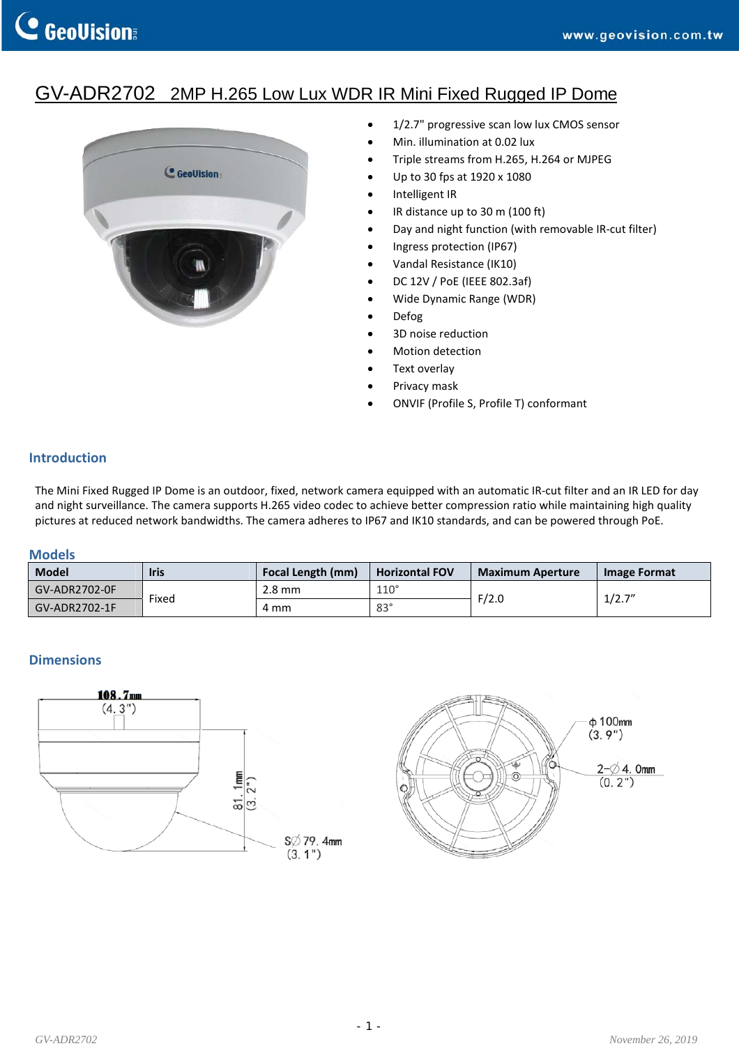# GV-ADR2702 2MP H.265 Low Lux WDR IR Mini Fixed Rugged IP Dome



- 1/2.7" progressive scan low lux CMOS sensor
- Min. illumination at 0.02 lux
- Triple streams from H.265, H.264 or MJPEG
- Up to 30 fps at 1920 x 1080
- Intelligent IR
- IR distance up to 30 m (100 ft)
- Day and night function (with removable IR‐cut filter)
- Ingress protection (IP67)
- Vandal Resistance (IK10)
- DC 12V / PoE (IEEE 802.3af)
- Wide Dynamic Range (WDR)
- Defog
- 3D noise reduction
- Motion detection
- Text overlay
- Privacy mask
- ONVIF (Profile S, Profile T) conformant

## **Introduction**

The Mini Fixed Rugged IP Dome is an outdoor, fixed, network camera equipped with an automatic IR‐cut filter and an IR LED for day and night surveillance. The camera supports H.265 video codec to achieve better compression ratio while maintaining high quality pictures at reduced network bandwidths. The camera adheres to IP67 and IK10 standards, and can be powered through PoE.

### **Models**

| Model         | <b>Iris</b> | Focal Length (mm) | <b>Horizontal FOV</b> | <b>Maximum Aperture</b> | Image Format |
|---------------|-------------|-------------------|-----------------------|-------------------------|--------------|
| GV-ADR2702-0F | Fixed       | $2.8 \text{ mm}$  | $110^\circ$           | F/2.0                   | 1/2.7''      |
| GV-ADR2702-1F |             | 4 mm              | $83^\circ$            |                         |              |

## **Dimensions**



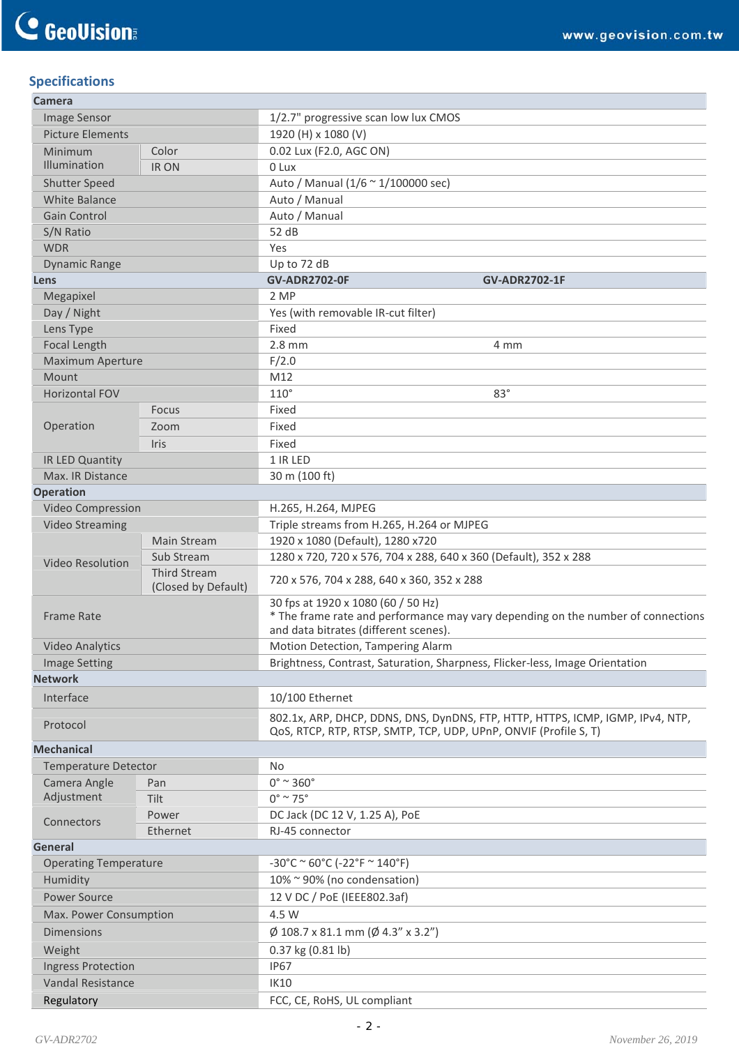## **Specifications**

| Camera                       |                                            |                                                                                                                                                                 |  |  |
|------------------------------|--------------------------------------------|-----------------------------------------------------------------------------------------------------------------------------------------------------------------|--|--|
| Image Sensor                 |                                            | 1/2.7" progressive scan low lux CMOS                                                                                                                            |  |  |
| <b>Picture Elements</b>      |                                            | 1920 (H) x 1080 (V)                                                                                                                                             |  |  |
| Minimum                      | Color                                      | 0.02 Lux (F2.0, AGC ON)                                                                                                                                         |  |  |
| Illumination                 | IR ON                                      | 0 Lux                                                                                                                                                           |  |  |
| <b>Shutter Speed</b>         |                                            | Auto / Manual (1/6 ~ 1/100000 sec)                                                                                                                              |  |  |
| <b>White Balance</b>         |                                            | Auto / Manual                                                                                                                                                   |  |  |
| <b>Gain Control</b>          |                                            | Auto / Manual                                                                                                                                                   |  |  |
| S/N Ratio                    |                                            | 52 dB                                                                                                                                                           |  |  |
| <b>WDR</b>                   |                                            | Yes                                                                                                                                                             |  |  |
| <b>Dynamic Range</b>         |                                            | Up to 72 dB                                                                                                                                                     |  |  |
| Lens                         |                                            | <b>GV-ADR2702-0F</b><br><b>GV-ADR2702-1F</b><br>2 MP                                                                                                            |  |  |
| Megapixel                    |                                            |                                                                                                                                                                 |  |  |
| Day / Night<br>Lens Type     |                                            | Yes (with removable IR-cut filter)<br>Fixed                                                                                                                     |  |  |
| Focal Length                 |                                            | $2.8$ mm<br>4 mm                                                                                                                                                |  |  |
| <b>Maximum Aperture</b>      |                                            | F/2.0                                                                                                                                                           |  |  |
| Mount                        |                                            | M12                                                                                                                                                             |  |  |
| Horizontal FOV               |                                            | $110^\circ$<br>$83^\circ$                                                                                                                                       |  |  |
|                              | Focus                                      | Fixed                                                                                                                                                           |  |  |
| Operation                    | Zoom                                       | Fixed                                                                                                                                                           |  |  |
|                              | Iris                                       | Fixed                                                                                                                                                           |  |  |
| IR LED Quantity              |                                            | 1 IR LED                                                                                                                                                        |  |  |
| Max. IR Distance             |                                            | 30 m (100 ft)                                                                                                                                                   |  |  |
| <b>Operation</b>             |                                            |                                                                                                                                                                 |  |  |
| Video Compression            |                                            | H.265, H.264, MJPEG                                                                                                                                             |  |  |
| <b>Video Streaming</b>       |                                            | Triple streams from H.265, H.264 or MJPEG                                                                                                                       |  |  |
|                              | <b>Main Stream</b>                         | 1920 x 1080 (Default), 1280 x720                                                                                                                                |  |  |
| <b>Video Resolution</b>      | Sub Stream                                 | 1280 x 720, 720 x 576, 704 x 288, 640 x 360 (Default), 352 x 288                                                                                                |  |  |
|                              | <b>Third Stream</b><br>(Closed by Default) | 720 x 576, 704 x 288, 640 x 360, 352 x 288                                                                                                                      |  |  |
| <b>Frame Rate</b>            |                                            | 30 fps at 1920 x 1080 (60 / 50 Hz)<br>* The frame rate and performance may vary depending on the number of connections<br>and data bitrates (different scenes). |  |  |
| <b>Video Analytics</b>       |                                            | Motion Detection, Tampering Alarm                                                                                                                               |  |  |
| <b>Image Setting</b>         |                                            | Brightness, Contrast, Saturation, Sharpness, Flicker-less, Image Orientation                                                                                    |  |  |
| <b>Network</b>               |                                            |                                                                                                                                                                 |  |  |
| Interface                    |                                            | 10/100 Ethernet                                                                                                                                                 |  |  |
| Protocol                     |                                            | 802.1x, ARP, DHCP, DDNS, DNS, DynDNS, FTP, HTTP, HTTPS, ICMP, IGMP, IPv4, NTP,<br>QoS, RTCP, RTP, RTSP, SMTP, TCP, UDP, UPnP, ONVIF (Profile S, T)              |  |  |
| <b>Mechanical</b>            |                                            |                                                                                                                                                                 |  |  |
| <b>Temperature Detector</b>  |                                            | No                                                                                                                                                              |  |  |
| Camera Angle                 | Pan                                        | $0^\circ$ ~ 360 $^\circ$                                                                                                                                        |  |  |
| Adjustment                   | Tilt                                       | $0^\circ \sim 75^\circ$                                                                                                                                         |  |  |
| Connectors                   | Power                                      | DC Jack (DC 12 V, 1.25 A), PoE                                                                                                                                  |  |  |
|                              | Ethernet                                   | RJ-45 connector                                                                                                                                                 |  |  |
| General                      |                                            |                                                                                                                                                                 |  |  |
| <b>Operating Temperature</b> |                                            | $-30^{\circ}$ C ~ 60°C (-22°F ~ 140°F)                                                                                                                          |  |  |
| Humidity                     |                                            | 10% ~ 90% (no condensation)                                                                                                                                     |  |  |
| Power Source                 |                                            | 12 V DC / PoE (IEEE802.3af)                                                                                                                                     |  |  |
| Max. Power Consumption       |                                            | 4.5 W                                                                                                                                                           |  |  |
| <b>Dimensions</b>            |                                            | $\varnothing$ 108.7 x 81.1 mm ( $\varnothing$ 4.3" x 3.2")                                                                                                      |  |  |
| Weight                       |                                            | 0.37 kg (0.81 lb)                                                                                                                                               |  |  |
| <b>Ingress Protection</b>    |                                            | <b>IP67</b>                                                                                                                                                     |  |  |
| <b>Vandal Resistance</b>     |                                            | <b>IK10</b>                                                                                                                                                     |  |  |
| Regulatory                   |                                            | FCC, CE, RoHS, UL compliant                                                                                                                                     |  |  |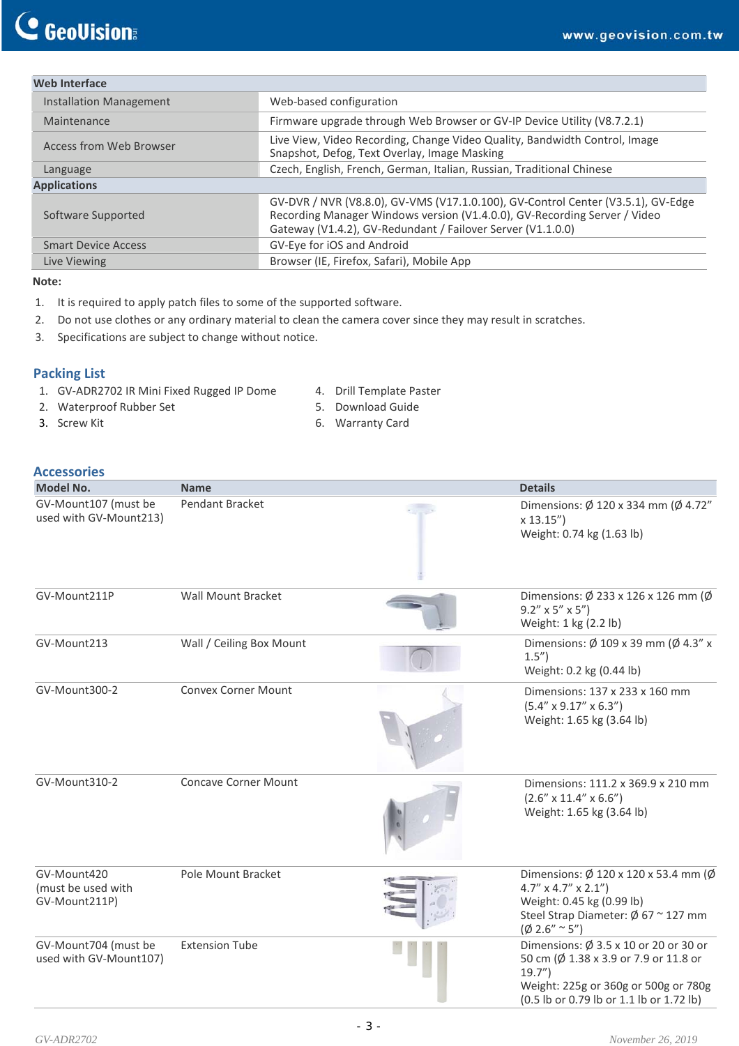## **Web Interface**

| Installation Management        | Web-based configuration                                                                                                                                                                                                      |  |
|--------------------------------|------------------------------------------------------------------------------------------------------------------------------------------------------------------------------------------------------------------------------|--|
| Maintenance                    | Firmware upgrade through Web Browser or GV-IP Device Utility (V8.7.2.1)                                                                                                                                                      |  |
| <b>Access from Web Browser</b> | Live View, Video Recording, Change Video Quality, Bandwidth Control, Image<br>Snapshot, Defog, Text Overlay, Image Masking                                                                                                   |  |
| Language                       | Czech, English, French, German, Italian, Russian, Traditional Chinese                                                                                                                                                        |  |
| <b>Applications</b>            |                                                                                                                                                                                                                              |  |
| Software Supported             | GV-DVR / NVR (V8.8.0), GV-VMS (V17.1.0.100), GV-Control Center (V3.5.1), GV-Edge<br>Recording Manager Windows version (V1.4.0.0), GV-Recording Server / Video<br>Gateway (V1.4.2), GV-Redundant / Failover Server (V1.1.0.0) |  |
| <b>Smart Device Access</b>     | GV-Eye for iOS and Android                                                                                                                                                                                                   |  |
| Live Viewing                   | Browser (IE, Firefox, Safari), Mobile App                                                                                                                                                                                    |  |
|                                |                                                                                                                                                                                                                              |  |

#### **Note:**

- 1. It is required to apply patch files to some of the supported software.
- 2. Do not use clothes or any ordinary material to clean the camera cover since they may result in scratches.
- 3. Specifications are subject to change without notice.

### **Packing List**

- 1. GV‐ADR2702 IR Mini Fixed Rugged IP Dome
	- 4. Drill Template Paster
- 3. Screw Kit

2. Waterproof Rubber Set

- 5. Download Guide
- 6. Warranty Card

## **Accessories**

| <b>Model No.</b>                                   | <b>Name</b>                 | <b>Details</b>                                                                                                                                                                     |
|----------------------------------------------------|-----------------------------|------------------------------------------------------------------------------------------------------------------------------------------------------------------------------------|
| GV-Mount107 (must be<br>used with GV-Mount213)     | Pendant Bracket             | Dimensions: Ø 120 x 334 mm (Ø 4.72"<br>x 13.15'<br>Weight: 0.74 kg (1.63 lb)                                                                                                       |
| GV-Mount211P                                       | Wall Mount Bracket          | Dimensions: Ø 233 x 126 x 126 mm (Ø<br>$9.2'' \times 5'' \times 5''$<br>Weight: 1 kg (2.2 lb)                                                                                      |
| GV-Mount213                                        | Wall / Ceiling Box Mount    | Dimensions: $\emptyset$ 109 x 39 mm ( $\emptyset$ 4.3" x<br>1.5 <sup>''</sup><br>Weight: 0.2 kg (0.44 lb)                                                                          |
| GV-Mount300-2                                      | <b>Convex Corner Mount</b>  | Dimensions: 137 x 233 x 160 mm<br>$(5.4'' \times 9.17'' \times 6.3'')$<br>Weight: 1.65 kg (3.64 lb)                                                                                |
| GV-Mount310-2                                      | <b>Concave Corner Mount</b> | Dimensions: 111.2 x 369.9 x 210 mm<br>$(2.6'' \times 11.4'' \times 6.6'')$<br>Weight: 1.65 kg (3.64 lb)                                                                            |
| GV-Mount420<br>(must be used with<br>GV-Mount211P) | Pole Mount Bracket          | Dimensions: Ø 120 x 120 x 53.4 mm (Ø<br>$4.7'' \times 4.7'' \times 2.1''$<br>Weight: 0.45 kg (0.99 lb)<br>Steel Strap Diameter: $\emptyset$ 67 ~ 127 mm<br>$(\emptyset$ 2.6" ~ 5") |
| GV-Mount704 (must be<br>used with GV-Mount107)     | <b>Extension Tube</b>       | Dimensions: Ø 3.5 x 10 or 20 or 30 or<br>50 cm (Ø 1.38 x 3.9 or 7.9 or 11.8 or<br>19.7"<br>Weight: 225g or 360g or 500g or 780g<br>(0.5 lb or 0.79 lb or 1.1 lb or 1.72 lb)        |